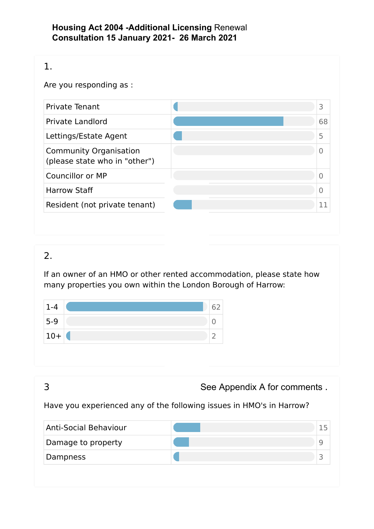### **Housing Act 2004 -Additional Licensing** Renewal  **Consultation 15 January 2021- 26 March 2021**

| Are you responding as :                                        |                |
|----------------------------------------------------------------|----------------|
| <b>Private Tenant</b>                                          | 3              |
| <b>Private Landlord</b>                                        | 68             |
| Lettings/Estate Agent                                          | 5              |
| <b>Community Organisation</b><br>(please state who in "other") | $\overline{0}$ |
| Councillor or MP                                               | $\Omega$       |
| <b>Harrow Staff</b>                                            | $\overline{0}$ |
| Resident (not private tenant)                                  | 11             |

# 2.

If an owner of an HMO or other rented accommodation, please state how many properties you own within the London Borough of Harrow:

| $1 - 4$ |  |
|---------|--|
| $5-9$   |  |
| $10+$   |  |

|                              | See Appendix A for comments.                                         |    |
|------------------------------|----------------------------------------------------------------------|----|
|                              | Have you experienced any of the following issues in HMO's in Harrow? |    |
| <b>Anti-Social Behaviour</b> |                                                                      | 15 |
| Damage to property           |                                                                      | q  |
| Dampness                     |                                                                      |    |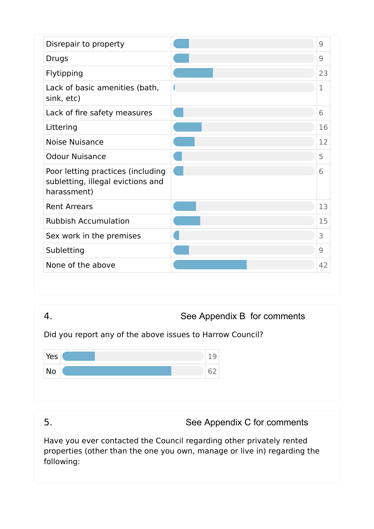| Disrepair to property                                                                 | 9           |
|---------------------------------------------------------------------------------------|-------------|
| Drugs                                                                                 | 9           |
| Flytipping                                                                            | 23          |
| Lack of basic amenities (bath,<br>sink, etc)                                          | $\mathbf 1$ |
| Lack of fire safety measures                                                          | 6           |
| Littering                                                                             | 16          |
| <b>Noise Nuisance</b>                                                                 | 12          |
| <b>Odour Nuisance</b>                                                                 | 5           |
| Poor letting practices (including<br>subletting, illegal evictions and<br>harassment) | 6           |
| <b>Rent Arrears</b>                                                                   | 13          |
| <b>Rubbish Accumulation</b>                                                           | 15          |
| Sex work in the premises                                                              | 3           |
| Subletting                                                                            | 9           |
| None of the above                                                                     | 42          |



Have you ever contacted the Council regarding other privately rented properties (other than the one you own, manage or live in) regarding the following:

5. See Appendix C for comments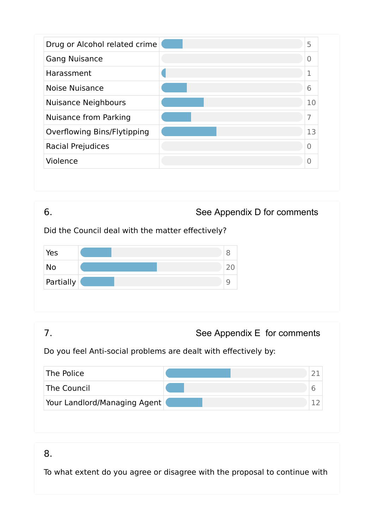| Drug or Alcohol related crime | 5  |
|-------------------------------|----|
| <b>Gang Nuisance</b>          | 0  |
| Harassment                    | 1  |
| Noise Nuisance                | 6  |
| <b>Nuisance Neighbours</b>    | 10 |
| <b>Nuisance from Parking</b>  | 7  |
| Overflowing Bins/Flytipping   | 13 |
| Racial Prejudices             | 0  |
| Violence                      | 0  |



# Do you feel Anti-social problems are dealt with effectively by:

| The Police                   |  |
|------------------------------|--|
| The Council                  |  |
| Your Landlord/Managing Agent |  |

# 8.

To what extent do you agree or disagree with the proposal to continue with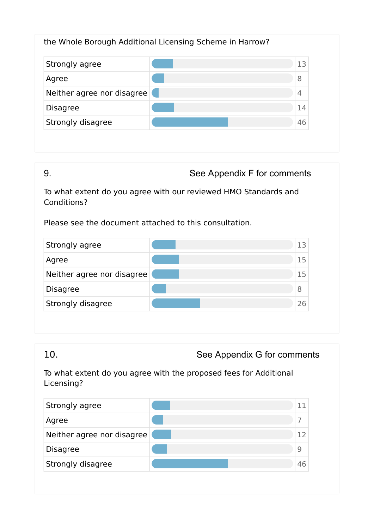### the Whole Borough Additional Licensing Scheme in Harrow?

| Strongly agree             | ר 1 |
|----------------------------|-----|
| Agree                      | 8   |
| Neither agree nor disagree | 4   |
| <b>Disagree</b>            | 14  |
| Strongly disagree          | 46  |

9. See Appendix F for comments

To what extent do you agree with our reviewed HMO Standards and Conditions?

Please see the document attached to this consultation.

| Strongly agree             | 1 ว |
|----------------------------|-----|
| Agree                      | 15  |
| Neither agree nor disagree | 15  |
| <b>Disagree</b>            | 8   |
| Strongly disagree          | 26  |

10. See Appendix G for comments

To what extent do you agree with the proposed fees for Additional Licensing?

| Strongly agree             |    |
|----------------------------|----|
| Agree                      |    |
| Neither agree nor disagree |    |
| <b>Disagree</b>            |    |
| Strongly disagree          | 46 |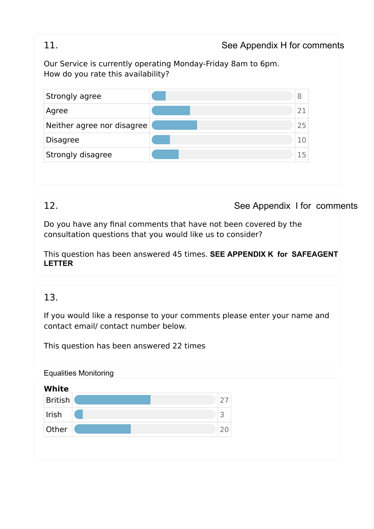### 11. See Appendix H for comments

Our Service is currently operating Monday-Friday 8am to 6pm. How do you rate this availability?

| Strongly agree             | 8  |
|----------------------------|----|
| Agree                      | 21 |
| Neither agree nor disagree | 25 |
| <b>Disagree</b>            | 10 |
| Strongly disagree          | 15 |

# 12. See Appendix I for comments

Do you have any final comments that have not been covered by the consultation questions that you would like us to consider?

This question has been answered 45 times. **SEE APPENDIX K for SAFEAGENT LETTER**

## 13.

If you would like a response to your comments please enter your name and contact email/ contact number below.

This question has been answered 22 times

Equalities Monitoring

| <b>White</b>   |    |
|----------------|----|
| <b>British</b> | フフ |
| Irish          | ∽  |
| Other          | 20 |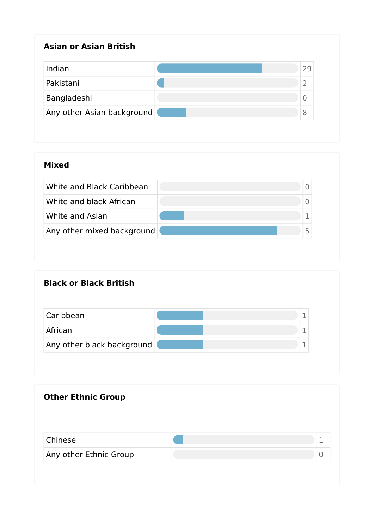## **Asian or Asian British**

| Indian                     |  |
|----------------------------|--|
| Pakistani                  |  |
| Bangladeshi                |  |
| Any other Asian background |  |

### **Mixed**

| White and Black Caribbean  |  |
|----------------------------|--|
| White and black African    |  |
| White and Asian            |  |
| Any other mixed background |  |

# **Black or Black British**

| Caribbean                  |  |
|----------------------------|--|
| African                    |  |
| Any other black background |  |

| <b>Other Ethnic Group</b> |   |
|---------------------------|---|
| Chinese                   | 1 |
| Any other Ethnic Group    | U |